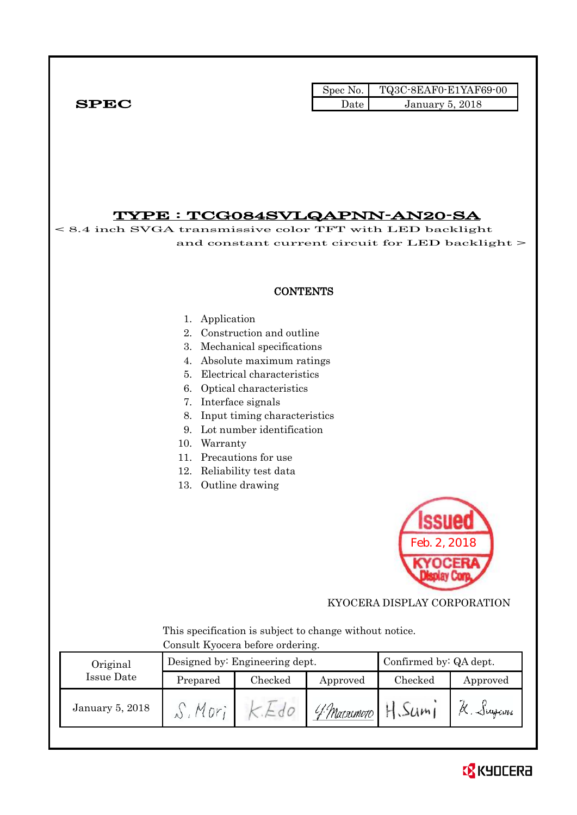Spec No. TQ3C-8EAF0-E1YAF69-00  $SPEC$  Date January 5, 2018

## TYPE : TCG084SVLQAPNN-AN20-SA

< 8.4 inch SVGA transmissive color TFT with LED backlight and constant current circuit for LED backlight > **CONTENTS** 1. Application 2. Construction and outline 3. Mechanical specifications 4. Absolute maximum ratings 5. Electrical characteristics 6. Optical characteristics 7. Interface signals 8. Input timing characteristics 9. Lot number identification 10. Warranty 11. Precautions for use 12. Reliability test data 13. Outline drawing Feb. 2, 2018 KYOCERA DISPLAY CORPORATION This specification is subject to change without notice. Consult Kyocera before ordering. Designed by: Engineering dept. Confirmed by: QA dept. Original Issue Date Prepared Checked Approved Checked Approved K. Sugam H. Sumi  $S$ , Morj  $k.Edo$ January 5, 2018 4 Marsumoto

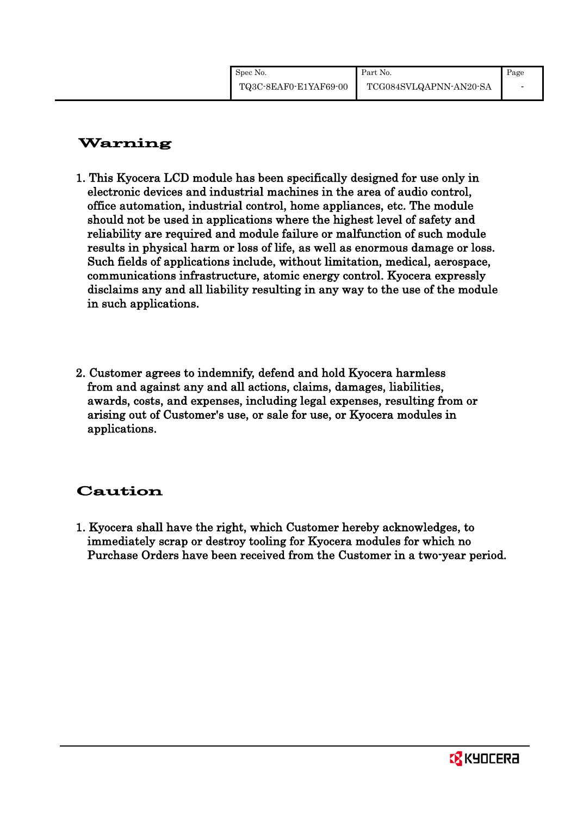# Warning

- 1. This Kyocera LCD module has been specifically designed for use only in electronic devices and industrial machines in the area of audio control, office automation, industrial control, home appliances, etc. The module should not be used in applications where the highest level of safety and reliability are required and module failure or malfunction of such module results in physical harm or loss of life, as well as enormous damage or loss. Such fields of applications include, without limitation, medical, aerospace, communications infrastructure, atomic energy control. Kyocera expressly disclaims any and all liability resulting in any way to the use of the module in such applications.
- 2. Customer agrees to indemnify, defend and hold Kyocera harmless from and against any and all actions, claims, damages, liabilities, awards, costs, and expenses, including legal expenses, resulting from or arising out of Customer's use, or sale for use, or Kyocera modules in applications.

# Caution

1. Kyocera shall have the right, which Customer hereby acknowledges, to immediately scrap or destroy tooling for Kyocera modules for which no Purchase Orders have been received from the Customer in a two-year period.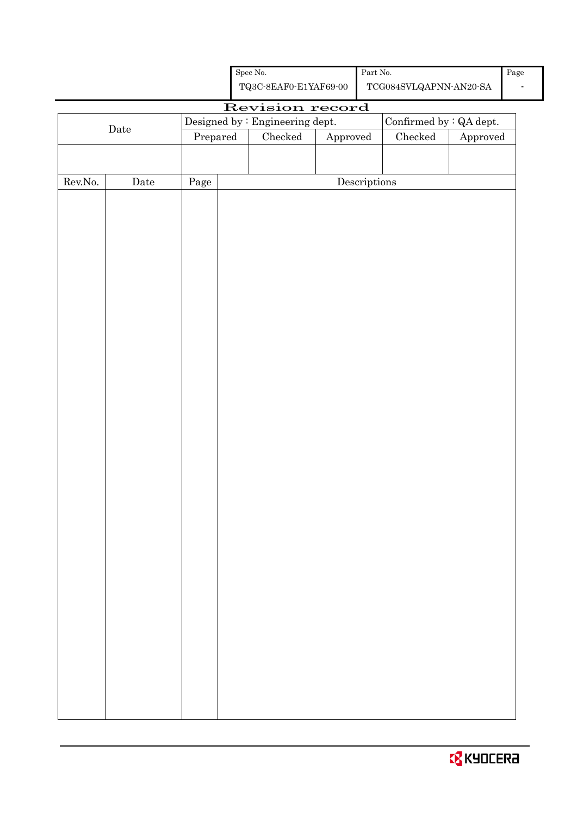|                  |                      |            |  | Revision record                 |                                      |                                |          |
|------------------|----------------------|------------|--|---------------------------------|--------------------------------------|--------------------------------|----------|
| $\rm{Date}$      |                      |            |  | Designed by : Engineering dept. |                                      | Confirmed by $\colon$ QA dept. |          |
|                  |                      | Prepared   |  | ${\it Checked}$                 | ${\Large\bf Approved}$               | ${\it Checked}$                | Approved |
|                  |                      |            |  |                                 |                                      |                                |          |
|                  |                      |            |  |                                 |                                      |                                |          |
| ${\rm Rev. No.}$ | $\rm{\textbf{Date}}$ | $\rm Page$ |  |                                 | $\label{eq:2} \textbf{Descriptions}$ |                                |          |
|                  |                      |            |  |                                 |                                      |                                |          |
|                  |                      |            |  |                                 |                                      |                                |          |
|                  |                      |            |  |                                 |                                      |                                |          |
|                  |                      |            |  |                                 |                                      |                                |          |
|                  |                      |            |  |                                 |                                      |                                |          |
|                  |                      |            |  |                                 |                                      |                                |          |
|                  |                      |            |  |                                 |                                      |                                |          |
|                  |                      |            |  |                                 |                                      |                                |          |
|                  |                      |            |  |                                 |                                      |                                |          |
|                  |                      |            |  |                                 |                                      |                                |          |
|                  |                      |            |  |                                 |                                      |                                |          |
|                  |                      |            |  |                                 |                                      |                                |          |
|                  |                      |            |  |                                 |                                      |                                |          |
|                  |                      |            |  |                                 |                                      |                                |          |
|                  |                      |            |  |                                 |                                      |                                |          |
|                  |                      |            |  |                                 |                                      |                                |          |
|                  |                      |            |  |                                 |                                      |                                |          |
|                  |                      |            |  |                                 |                                      |                                |          |
|                  |                      |            |  |                                 |                                      |                                |          |
|                  |                      |            |  |                                 |                                      |                                |          |
|                  |                      |            |  |                                 |                                      |                                |          |
|                  |                      |            |  |                                 |                                      |                                |          |
|                  |                      |            |  |                                 |                                      |                                |          |
|                  |                      |            |  |                                 |                                      |                                |          |
|                  |                      |            |  |                                 |                                      |                                |          |
|                  |                      |            |  |                                 |                                      |                                |          |
|                  |                      |            |  |                                 |                                      |                                |          |
|                  |                      |            |  |                                 |                                      |                                |          |
|                  |                      |            |  |                                 |                                      |                                |          |
|                  |                      |            |  |                                 |                                      |                                |          |
|                  |                      |            |  |                                 |                                      |                                |          |
|                  |                      |            |  |                                 |                                      |                                |          |
|                  |                      |            |  |                                 |                                      |                                |          |
|                  |                      |            |  |                                 |                                      |                                |          |
|                  |                      |            |  |                                 |                                      |                                |          |
|                  |                      |            |  |                                 |                                      |                                |          |
|                  |                      |            |  |                                 |                                      |                                |          |
|                  |                      |            |  |                                 |                                      |                                |          |
|                  |                      |            |  |                                 |                                      |                                |          |
|                  |                      |            |  |                                 |                                      |                                |          |

Spec No. TQ3C-8EAF0-E1YAF69-00 TCG084SVLQAPNN-AN20-SA Part No. Page -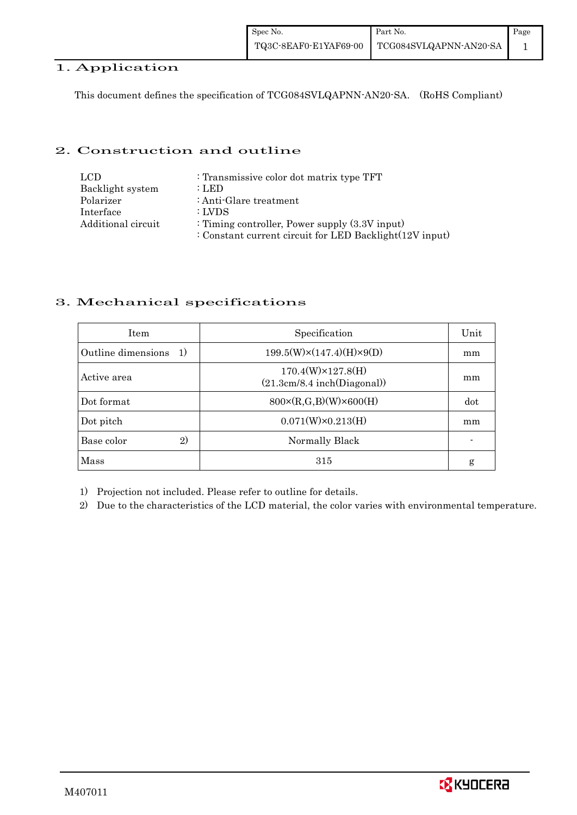## 1. Application

This document defines the specification of TCG084SVLQAPNN-AN20-SA. (RoHS Compliant)

### 2. Construction and outline

| LCD.               | : Transmissive color dot matrix type TFT                |
|--------------------|---------------------------------------------------------|
| Backlight system   | : LED                                                   |
| Polarizer          | : Anti-Glare treatment                                  |
| Interface          | : LVDS                                                  |
| Additional circuit | : Timing controller, Power supply $(3.3V)$ input)       |
|                    | : Constant current circuit for LED Backlight(12V input) |

## 3. Mechanical specifications

| <b>Item</b>              | Specification                                            | Unit |
|--------------------------|----------------------------------------------------------|------|
| Outline dimensions<br>1) | $199.5(W)\times(147.4)(H)\times9(D)$                     | mm   |
| Active area              | $170.4(W)\times 127.8(H)$<br>(21.3cm/8.4 inch(Diagonal)) | mm   |
| Dot format               | $800 \times (R, G, B)(W) \times 600(H)$                  | dot  |
| Dot pitch                | $0.071(W)\times0.213(H)$                                 | mm   |
| 2)<br>Base color         | Normally Black                                           |      |
| Mass                     | 315                                                      | g    |

1) Projection not included. Please refer to outline for details.

2) Due to the characteristics of the LCD material, the color varies with environmental temperature.

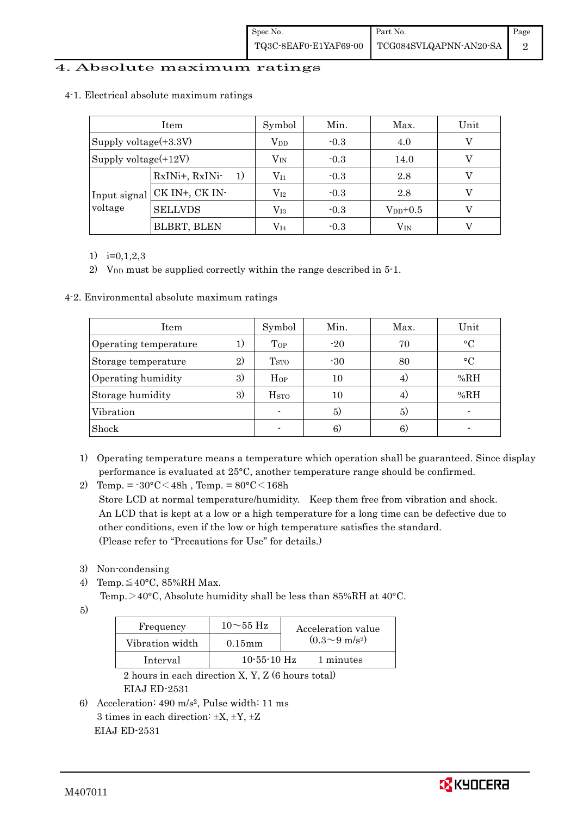### 4. Absolute maximum ratings

|                         | Item                 | Symbol           | Min.   | Max.         | Unit |
|-------------------------|----------------------|------------------|--------|--------------|------|
| Supply voltage(+3.3V)   |                      | $\rm V_{DD}$     | $-0.3$ | 4.0          |      |
| Supply voltage(+12V)    |                      | $\rm V_{\rm IN}$ | $-0.3$ | 14.0         |      |
| Input signal<br>voltage | RxINi+, RxINi-<br>1) | $\rm V_{11}$     | $-0.3$ | 2.8          |      |
|                         | CK IN+, CK IN-       | $\rm V_{I2}$     | $-0.3$ | 2.8          |      |
|                         | <b>SELLVDS</b>       | $\rm V_{I3}$     | $-0.3$ | $V_{DD}+0.5$ |      |
|                         | <b>BLBRT, BLEN</b>   | $\rm V_{I4}$     | $-0.3$ | $\rm V_{IN}$ |      |

#### 4-1. Electrical absolute maximum ratings

1) i=0,1,2,3

2) V<sub>DD</sub> must be supplied correctly within the range described in 5-1.

4-2. Environmental absolute maximum ratings

| Item                  |    | Symbol                  | Min.  | Max. | Unit      |
|-----------------------|----|-------------------------|-------|------|-----------|
| Operating temperature | 1) | Top                     | $-20$ | 70   | $\circ$ C |
| Storage temperature   | 2) | <b>T</b> <sub>STO</sub> | $-30$ | 80   | $\circ$ C |
| Operating humidity    | 3) | Hop                     | 10    | 4)   | %RH       |
| Storage humidity      | 3) | H <sub>STO</sub>        | 10    | 4)   | %RH       |
| Vibration             |    |                         | 5)    | 5)   |           |
| Shock                 |    |                         | 6)    | 6.   |           |

- 1) Operating temperature means a temperature which operation shall be guaranteed. Since display performance is evaluated at 25°C, another temperature range should be confirmed.
- 2) Temp. =  $-30^{\circ}$ C $<$ 48h, Temp. =  $80^{\circ}$ C $<$ 168h Store LCD at normal temperature/humidity. Keep them free from vibration and shock. An LCD that is kept at a low or a high temperature for a long time can be defective due to other conditions, even if the low or high temperature satisfies the standard. (Please refer to "Precautions for Use" for details.)
- 3) Non-condensing
- 4) Temp. $\leq 40^{\circ}$ C, 85%RH Max.

Temp.>40°C, Absolute humidity shall be less than 85%RH at 40°C.

5)

| Frequency       | $10\sim$ 55 Hz | Acceleration value         |
|-----------------|----------------|----------------------------|
| Vibration width | $0.15$ mm      | $(0.3{\sim}9~{\rm m/s^2})$ |
| Interval        | $10-55-10$ Hz  | 1 minutes                  |

 2 hours in each direction X, Y, Z (6 hours total) EIAJ ED-2531

6) Acceleration: 490 m/s2, Pulse width: 11 ms 3 times in each direction:  $\pm X$ ,  $\pm Y$ ,  $\pm Z$ EIAJ ED-2531

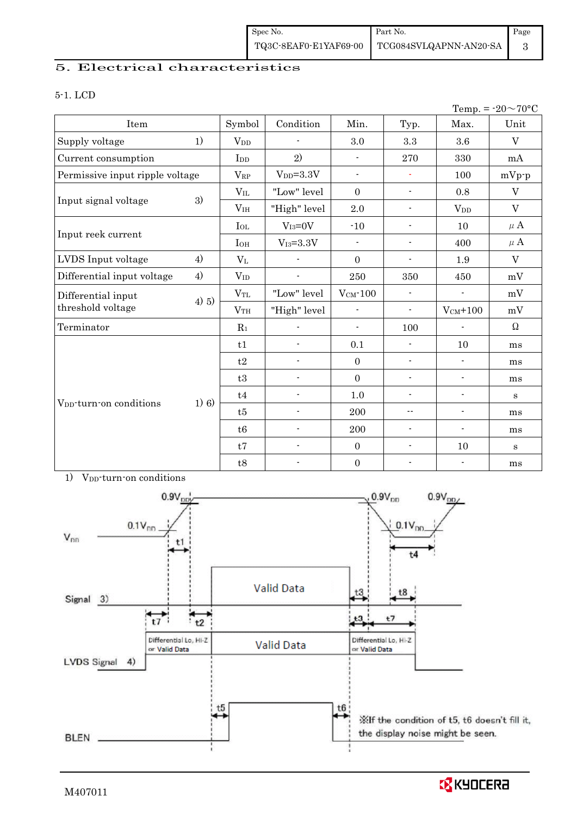## 5. Electrical characteristics

#### 5-1. LCD

|                                     |          |                        |                          |                          |                          |                          | Temp. = $-20 \sim 70$ °C |
|-------------------------------------|----------|------------------------|--------------------------|--------------------------|--------------------------|--------------------------|--------------------------|
| Item                                |          | Symbol                 | Condition                | Min.                     | Typ.                     | Max.                     | Unit                     |
| Supply voltage                      | 1)       | <b>V</b> <sub>DD</sub> |                          | 3.0                      | 3.3                      | 3.6                      | $\rm V$                  |
| Current consumption                 |          | I <sub>DD</sub>        | 2)                       | $\overline{\phantom{a}}$ | 270                      | 330                      | mA                       |
| Permissive input ripple voltage     |          | $V_{RP}$               | $V_{DD} = 3.3V$          | $\blacksquare$           | $\blacksquare$           | 100                      | $mVp-p$                  |
|                                     |          | $V_{IL}$               | "Low" level              | $\mathbf{0}$             | $\overline{\phantom{a}}$ | 0.8                      | $\mathbf V$              |
| Input signal voltage                | 3)       | V <sub>IH</sub>        | "High" level             | 2.0                      | $\blacksquare$           | <b>V</b> <sub>DD</sub>   | $\mathbf V$              |
|                                     |          | $I_{OL}$               | $V_{I3}=0V$              | $-10$                    | $\overline{\phantom{a}}$ | 10                       | $\mu$ A                  |
| Input reek current                  |          | $I_{OH}$               | $\rm V_{I3}\text{=}3.3V$ | $\blacksquare$           | $\overline{\phantom{a}}$ | 400                      | $\mu$ A                  |
| LVDS Input voltage                  | 4)       | $V_{L}$                |                          | $\mathbf{0}$             | -                        | 1.9                      | $\rm V$                  |
| Differential input voltage          | 4)       | $V_{ID}$               | $\overline{\phantom{a}}$ | 250                      | 350                      | 450                      | mV                       |
| Differential input                  |          | $V_{TL}$               | "Low" level              | $V_{CM}$ -100            | $\blacksquare$           |                          | mV                       |
| threshold voltage                   | $(4)$ 5) | V <sub>TH</sub>        | "High" level             | $\overline{\phantom{a}}$ | $\overline{\phantom{a}}$ | $V_{CM}$ +100            | mV                       |
| Terminator                          |          | $R_1$                  |                          | $\overline{\phantom{a}}$ | 100                      |                          | $\Omega$                 |
|                                     |          | t1                     | $\overline{a}$           | 0.1                      | $\blacksquare$           | 10                       | ms                       |
|                                     |          | t2                     | $\blacksquare$           | $\overline{0}$           | $\overline{\phantom{a}}$ | ٠                        | ms                       |
|                                     |          | t3                     | $\overline{\phantom{a}}$ | $\mathbf{0}$             | $\overline{\phantom{a}}$ | $\overline{\phantom{0}}$ | ms                       |
|                                     |          | t4                     | $\blacksquare$           | 1.0                      | $\overline{a}$           | $\overline{a}$           | $\bf S$                  |
| V <sub>DD</sub> -turn-on conditions | 1) 6)    | t5                     | $\blacksquare$           | 200                      | $\overline{\phantom{a}}$ | $\overline{\phantom{0}}$ | ms                       |
|                                     |          | t6                     |                          | 200                      | $\overline{\phantom{a}}$ | $\overline{a}$           | ms                       |
|                                     |          | t7                     | $\blacksquare$           | $\mathbf{0}$             | $\overline{\phantom{0}}$ | 10                       | $\bf S$                  |
|                                     |          | t8                     | $\blacksquare$           | $\boldsymbol{0}$         | $\blacksquare$           | $\overline{\phantom{a}}$ | ms                       |





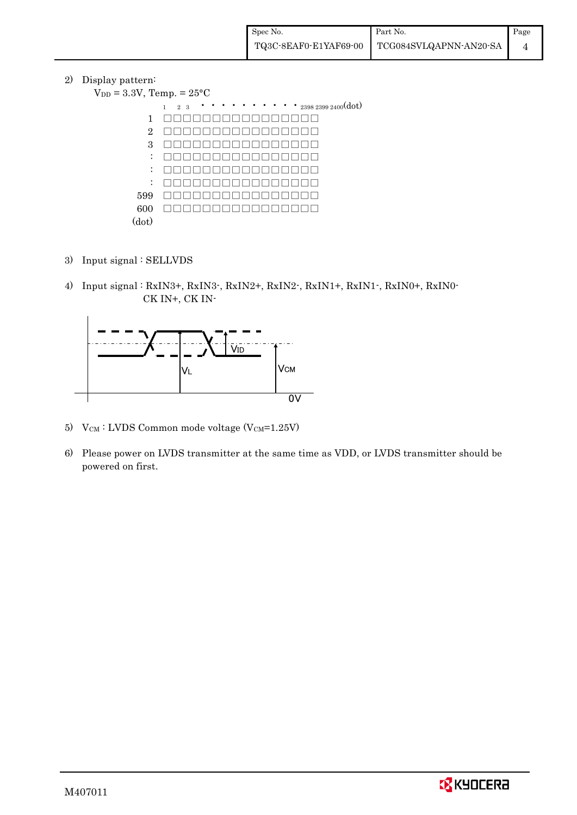2) Display pattern:

 $V_{DD}$ 

| $= 3.3V$ , Temp. $= 25^{\circ}C$ |                                                                                                  |  |  |  |  |  |  |
|----------------------------------|--------------------------------------------------------------------------------------------------|--|--|--|--|--|--|
|                                  | $\cdots$ $\cdots$ $\cdots$ $_{2398\ 2399\ 2400}(\mathrm{dot})$<br>$\mathbf{1}$<br>2 <sub>3</sub> |  |  |  |  |  |  |
| 1                                |                                                                                                  |  |  |  |  |  |  |
| $\overline{2}$                   |                                                                                                  |  |  |  |  |  |  |
| 3                                |                                                                                                  |  |  |  |  |  |  |
| $\ddot{\cdot}$                   |                                                                                                  |  |  |  |  |  |  |
| $\ddot{\cdot}$                   |                                                                                                  |  |  |  |  |  |  |
| $\ddot{\cdot}$                   |                                                                                                  |  |  |  |  |  |  |
| 599                              |                                                                                                  |  |  |  |  |  |  |
| 600                              |                                                                                                  |  |  |  |  |  |  |
| (dot)                            |                                                                                                  |  |  |  |  |  |  |

- 3) Input signal : SELLVDS
- 4) Input signal : RxIN3+, RxIN3-, RxIN2+, RxIN2-, RxIN1+, RxIN1-, RxIN0+, RxIN0- CK IN+, CK IN-



- 5)  $V_{CM}$ : LVDS Common mode voltage (V $_{CM}$ =1.25V)
- 6) Please power on LVDS transmitter at the same time as VDD, or LVDS transmitter should be powered on first.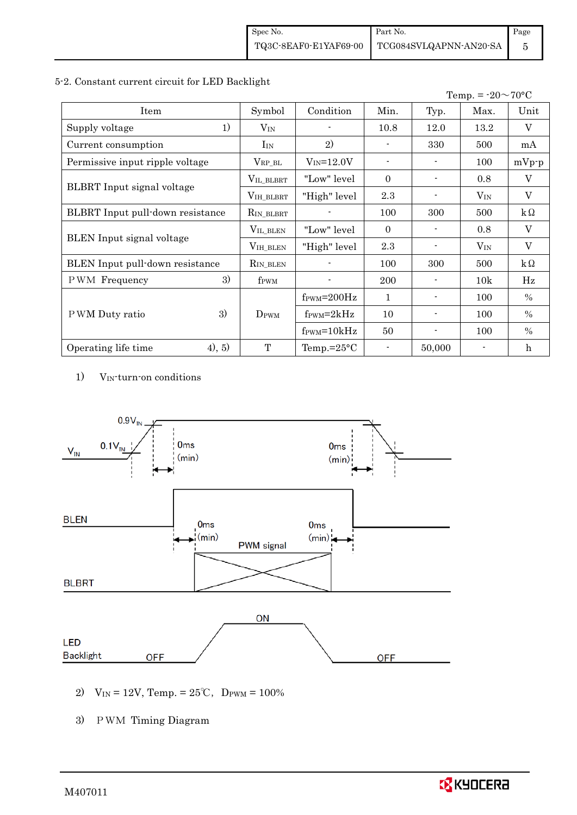#### 5-2. Constant current circuit for LED Backlight

|                                  |                  |                               |                |                | Temp. = $-20 \sim 70$ °C |                 |
|----------------------------------|------------------|-------------------------------|----------------|----------------|--------------------------|-----------------|
| Item                             | Symbol           | Condition                     | Min.           | Typ.           | Max.                     | Unit            |
| 1)<br>Supply voltage             | $V_{\rm IN}$     |                               | 10.8           | 12.0           | 13.2                     | V               |
| Current consumption              | $I_{IN}$         | 2)                            |                | 330            | 500                      | mA              |
| Permissive input ripple voltage  | $V_{RP\_BL}$     | $V_{IN} = 12.0V$              |                |                | 100                      | $mVp-p$         |
|                                  | VIL_BLBRT        | "Low" level                   | $\Omega$       |                | 0.8                      | V               |
| BLBRT Input signal voltage       | VIH_BLBRT        | "High" level                  | 2.3            |                | $V_{IN}$                 | V               |
| BLBRT Input pull-down resistance | $R_{IN\_BLBRT}$  |                               | 100            | 300            | 500                      | $\rm k\,\Omega$ |
|                                  | VIL_BLEN         | "Low" level                   | $\overline{0}$ |                | 0.8                      | V               |
| <b>BLEN</b> Input signal voltage | VIH_BLEN         | "High" level                  | 2.3            |                | $V_{IN}$                 | V               |
| BLEN Input pull-down resistance  | $R_{IN_BLEN}$    |                               | 100            | 300            | 500                      | $k\Omega$       |
| 3)<br><b>PWM</b> Frequency       | f <sub>PWM</sub> |                               | <b>200</b>     |                | 10k                      | Hz              |
|                                  |                  | $f_{\text{PWM}}=200\text{Hz}$ | 1              |                | 100                      | $\%$            |
| 3)<br>P WM Duty ratio            | $D_{\rm PWM}$    | $f_{\rm PWM} = 2kHz$          | 10             | $\blacksquare$ | 100                      | $\%$            |
|                                  |                  | $f_{\text{PWM}} = 10kHz$      | 50             |                | 100                      | $\%$            |
| (4), 5)<br>Operating life time   | T                | Temp.= $25^{\circ}$ C         |                | 50,000         |                          | h               |

1) VIN-turn-on conditions



2)  $V_{IN} = 12V$ , Temp. =  $25^{\circ}C$ , D<sub>PWM</sub> =  $100\%$ 

3) PWM Timing Diagram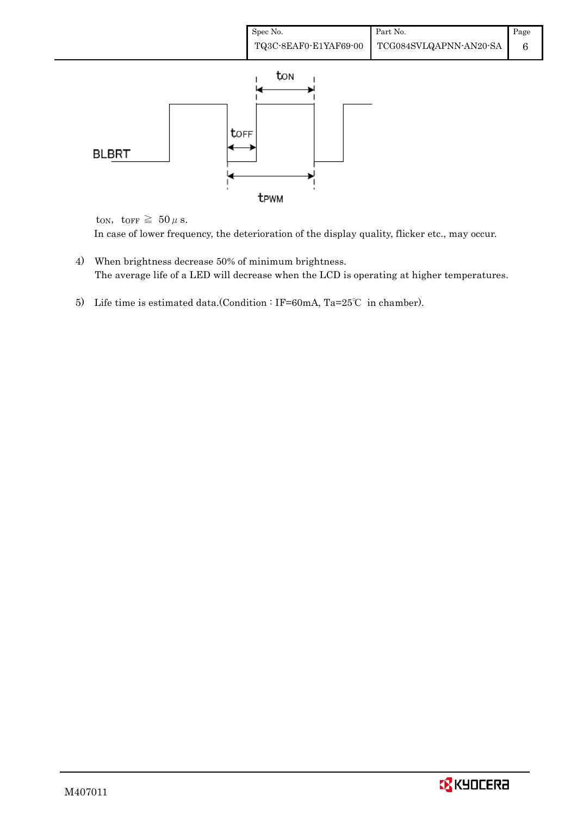

ton, torr  $\geq 50 \,\mu$  s.

In case of lower frequency, the deterioration of the display quality, flicker etc., may occur.

- 4) When brightness decrease 50% of minimum brightness. The average life of a LED will decrease when the LCD is operating at higher temperatures.
- 5) Life time is estimated data.(Condition : IF=60mA, Ta=25℃ in chamber).

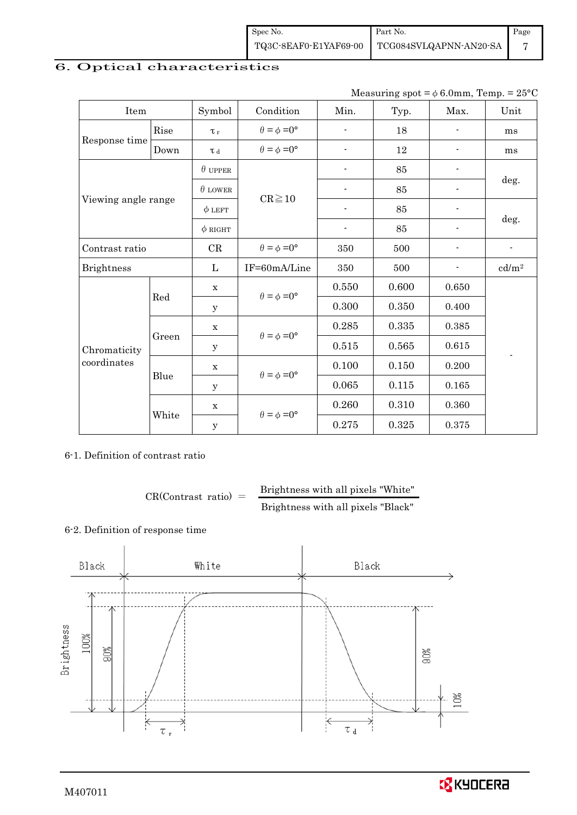| Spec No. | Part No.                                     | Page |
|----------|----------------------------------------------|------|
|          | TQ3C-8EAF0-E1YAF69-00 TCG084SVLQAPNN-AN20-SA |      |

## 6. Optical characteristics

| Measuring spot = $\phi$ 6.0mm, Temp. = 25°C |
|---------------------------------------------|
|                                             |

| Item                        |       | Symbol         | Condition                                                  | Min.                     | Typ.  | Max.           | Unit              |  |
|-----------------------------|-------|----------------|------------------------------------------------------------|--------------------------|-------|----------------|-------------------|--|
|                             | Rise  | $\tau_r$       | $\theta = \phi = 0^{\circ}$                                | ÷                        | 18    |                | ms                |  |
| Response time               | Down  | $\tau$ d       | $\theta = \phi = 0^{\circ}$                                |                          | 12    |                | ms                |  |
| Viewing angle range         |       | $\theta$ upper |                                                            |                          | 85    |                |                   |  |
|                             |       | $\theta$ LOWER | $CR \ge 10$                                                |                          | 85    |                | deg.              |  |
|                             |       | $\phi$ LEFT    |                                                            | $\overline{\phantom{a}}$ | 85    |                | deg.              |  |
|                             |       | $\phi$ RIGHT   |                                                            | $\overline{\phantom{a}}$ | 85    |                |                   |  |
| Contrast ratio              |       | CR             | $\theta = \phi = 0^{\circ}$                                | 350                      | 500   | $\blacksquare$ | $\blacksquare$    |  |
| <b>Brightness</b>           |       | L              | IF=60mA/Line                                               | 350                      | 500   |                | cd/m <sup>2</sup> |  |
|                             | Red   | X              | $\theta = \phi = 0^{\circ}$<br>$\theta = \phi = 0^{\circ}$ | 0.550                    | 0.600 | 0.650          |                   |  |
|                             |       | у              |                                                            | 0.300                    | 0.350 | 0.400          |                   |  |
|                             |       | X              |                                                            | 0.285                    | 0.335 | 0.385          |                   |  |
| Chromaticity<br>coordinates | Green | У              |                                                            | 0.515                    | 0.565 | 0.615          |                   |  |
|                             |       | X              | $\theta = \phi = 0^{\circ}$                                | 0.100                    | 0.150 | 0.200          |                   |  |
|                             | Blue  | у              |                                                            | 0.065                    | 0.115 | 0.165          |                   |  |
|                             |       | X              | $\theta = \phi = 0^{\circ}$                                | 0.260                    | 0.310 | 0.360          |                   |  |
|                             | White | $\mathbf y$    |                                                            | 0.275                    | 0.325 | 0.375          |                   |  |

6-1. Definition of contrast ratio

 $CR(Contrast ratio) =$  Brightness with all pixels "White" Brightness with all pixels "Black"

### 6-2. Definition of response time

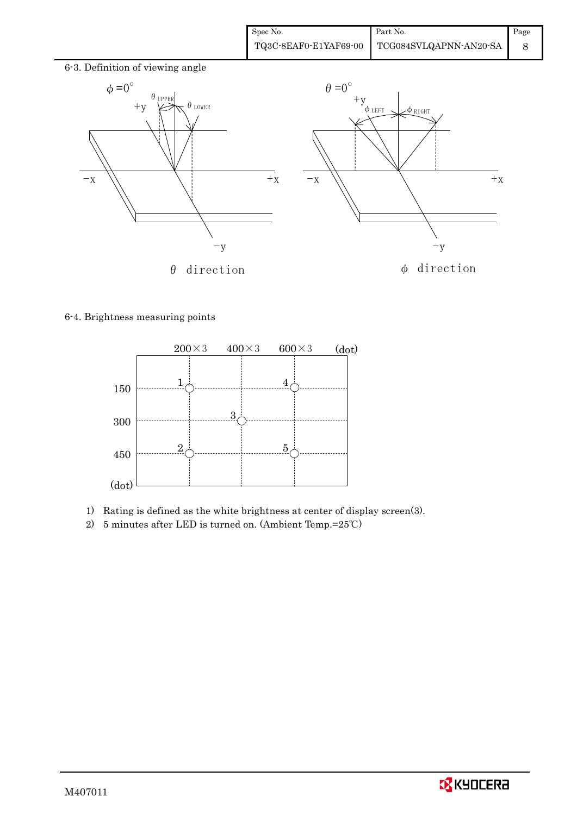

#### 6-4. Brightness measuring points



- 1) Rating is defined as the white brightness at center of display screen(3).
- 2) 5 minutes after LED is turned on. (Ambient Temp.=25℃)

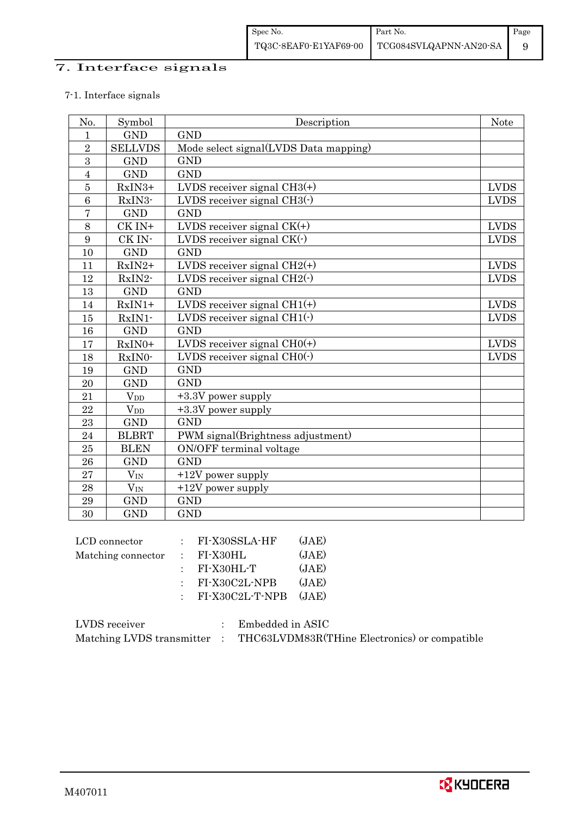## 7. Interface signals

## 7-1. Interface signals

| No.            | Symbol         | Description                            | <b>Note</b> |
|----------------|----------------|----------------------------------------|-------------|
| $\mathbf{1}$   | <b>GND</b>     | <b>GND</b>                             |             |
| $\overline{2}$ | <b>SELLVDS</b> | Mode select signal(LVDS Data mapping)  |             |
| 3              | <b>GND</b>     | <b>GND</b>                             |             |
| $\overline{4}$ | <b>GND</b>     | <b>GND</b>                             |             |
| $\bf 5$        | RxIN3+         | LVDS receiver signal $CH3(+)$          | <b>LVDS</b> |
| 6              | RxIN3-         | LVDS receiver signal $CH3$ ( $\cdot$ ) | <b>LVDS</b> |
| $\overline{7}$ | <b>GND</b>     | <b>GND</b>                             |             |
| 8              | CK IN+         | LVDS receiver signal $CK(+)$           | <b>LVDS</b> |
| 9              | CK IN-         | LVDS receiver signal $CK(\cdot)$       | <b>LVDS</b> |
| 10             | <b>GND</b>     | <b>GND</b>                             |             |
| 11             | RxIN2+         | LVDS receiver signal $CH2(+)$          | <b>LVDS</b> |
| 12             | RxIN2-         | LVDS receiver signal $CH2(\cdot)$      | <b>LVDS</b> |
| 13             | <b>GND</b>     | <b>GND</b>                             |             |
| 14             | $RxIN1+$       | LVDS receiver signal $CH1(+)$          | <b>LVDS</b> |
| 15             | RxIN1-         | LVDS receiver signal $CH1(\cdot)$      | <b>LVDS</b> |
| 16             | <b>GND</b>     | <b>GND</b>                             |             |
| 17             | RxIN0+         | LVDS receiver signal $CHO(+)$          | <b>LVDS</b> |
| 18             | RxIN0-         | LVDS receiver signal $CHO(·)$          | <b>LVDS</b> |
| 19             | <b>GND</b>     | <b>GND</b>                             |             |
| 20             | <b>GND</b>     | <b>GND</b>                             |             |
| 21             | $V_{DD}$       | +3.3V power supply                     |             |
| 22             | $V_{DD}$       | $+3.3V$ power supply                   |             |
| 23             | <b>GND</b>     | <b>GND</b>                             |             |
| 24             | <b>BLBRT</b>   | PWM signal(Brightness adjustment)      |             |
| 25             | <b>BLEN</b>    | ON/OFF terminal voltage                |             |
| 26             | <b>GND</b>     | <b>GND</b>                             |             |
| 27             | $V_{\rm IN}$   | +12V power supply                      |             |
| 28             | $V_{\rm IN}$   | $+12V$ power supply                    |             |
| 29             | <b>GND</b>     | <b>GND</b>                             |             |
| 30             | <b>GND</b>     | <b>GND</b>                             |             |

|  | (JAE)                                                                                                          |
|--|----------------------------------------------------------------------------------------------------------------|
|  | (JAE)                                                                                                          |
|  | (JAE)                                                                                                          |
|  | (JAE)                                                                                                          |
|  |                                                                                                                |
|  | $:$ FI-X30SSLA-HF<br>$\therefore$ FI-X30HL<br>$:$ FI-X30HL-T<br>$:$ FI-X30C2L-NPB<br>$:$ FI-X30C2L-T-NPB (JAE) |

| LVDS receiver             | Embedded in ASIC                              |
|---------------------------|-----------------------------------------------|
| Matching LVDS transmitter | THC63LVDM83R(THine Electronics) or compatible |

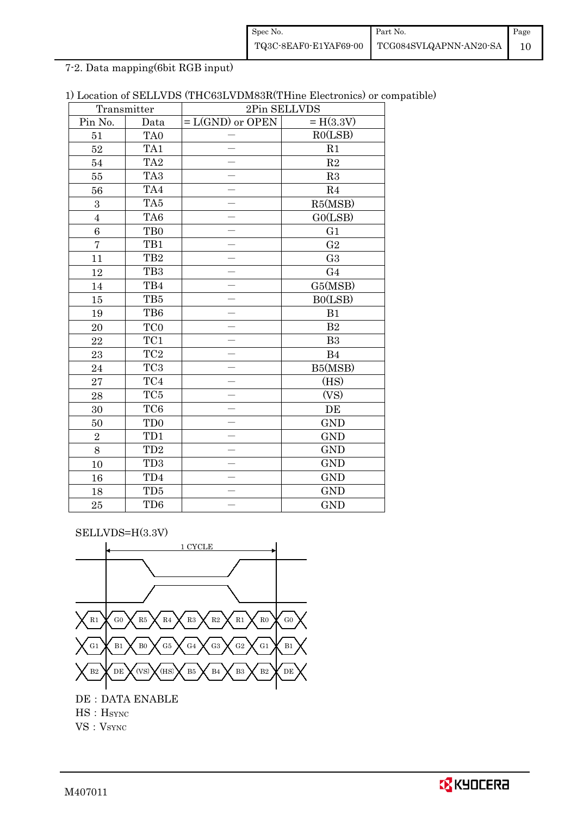| Spec No. | Part No.                                                                                                                                  | Page |
|----------|-------------------------------------------------------------------------------------------------------------------------------------------|------|
|          | $\left. {\color{blue}TQ3C \text{-}8EAF0 \text{-}E1YAF69 \text{-}00} \right  {\color{blue}TCG084SVLQAPNN \text{-}AN20 \text{-}SA} \right $ |      |

7-2. Data mapping(6bit RGB input)

| 1) Location of SELLVDS (THC63LVDM83R(THine Electronics) or compatible) |  |
|------------------------------------------------------------------------|--|
|------------------------------------------------------------------------|--|

| Transmitter    |                 | 2Pin SELLVDS                      |                |  |  |
|----------------|-----------------|-----------------------------------|----------------|--|--|
| Pin No.        | Data            | $= H(3.3V)$<br>$= L(GND)$ or OPEN |                |  |  |
| 51             | TA <sub>0</sub> |                                   | RO(LSB)        |  |  |
| 52             | TA1             |                                   | R1             |  |  |
| 54             | TA <sub>2</sub> |                                   | $\mathbf{R}2$  |  |  |
| 55             | TA <sub>3</sub> |                                   | R3             |  |  |
| 56             | TA4             |                                   | R4             |  |  |
| 3              | TA5             |                                   | R5(MSB)        |  |  |
| $\overline{4}$ | TA <sub>6</sub> |                                   | GO(LSB)        |  |  |
| 6              | TB <sub>0</sub> |                                   | G1             |  |  |
| $\overline{7}$ | TB1             |                                   | G <sub>2</sub> |  |  |
| 11             | TB <sub>2</sub> |                                   | G <sub>3</sub> |  |  |
| 12             | TB <sub>3</sub> |                                   | G <sub>4</sub> |  |  |
| $14\,$         | TB4             |                                   | G5(MSB)        |  |  |
| 15             | TB5             |                                   | B0(LSB)        |  |  |
| 19             | TB6             |                                   | B1             |  |  |
| $20\,$         | TC <sub>0</sub> |                                   | $\mathbf{B}2$  |  |  |
| 22             | TC1             |                                   | B <sub>3</sub> |  |  |
| 23             | $\rm TC2$       |                                   | B4             |  |  |
| 24             | TC <sub>3</sub> |                                   | B5(MSB)        |  |  |
| 27             | $\rm TC4$       |                                   | (HS)           |  |  |
| 28             | TC5             |                                   | (VS)           |  |  |
| 30             | TC <sub>6</sub> |                                   | DE             |  |  |
| 50             | TD <sub>0</sub> |                                   | <b>GND</b>     |  |  |
| $\sqrt{2}$     | TD1             |                                   | <b>GND</b>     |  |  |
| 8              | TD <sub>2</sub> |                                   | <b>GND</b>     |  |  |
| 10             | TD <sub>3</sub> |                                   | <b>GND</b>     |  |  |
| 16             | TD4             |                                   | <b>GND</b>     |  |  |
| 18             | TD5             |                                   | <b>GND</b>     |  |  |
| 25             | TD6             |                                   | <b>GND</b>     |  |  |

SELLVDS=H(3.3V)



HS: H<sub>SYNC</sub>

VS: V<sub>SYNC</sub>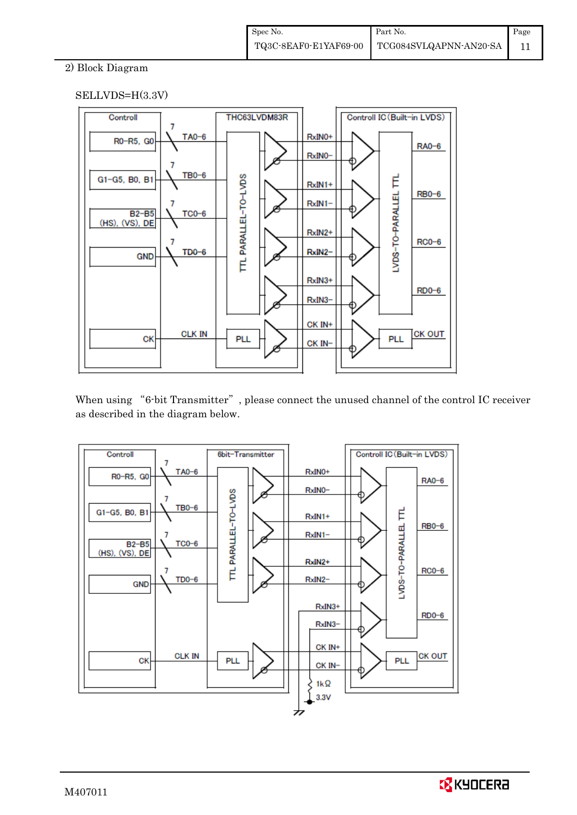## 2) Block Diagram

## SELLVDS=H(3.3V)



When using "6-bit Transmitter", please connect the unused channel of the control IC receiver as described in the diagram below.



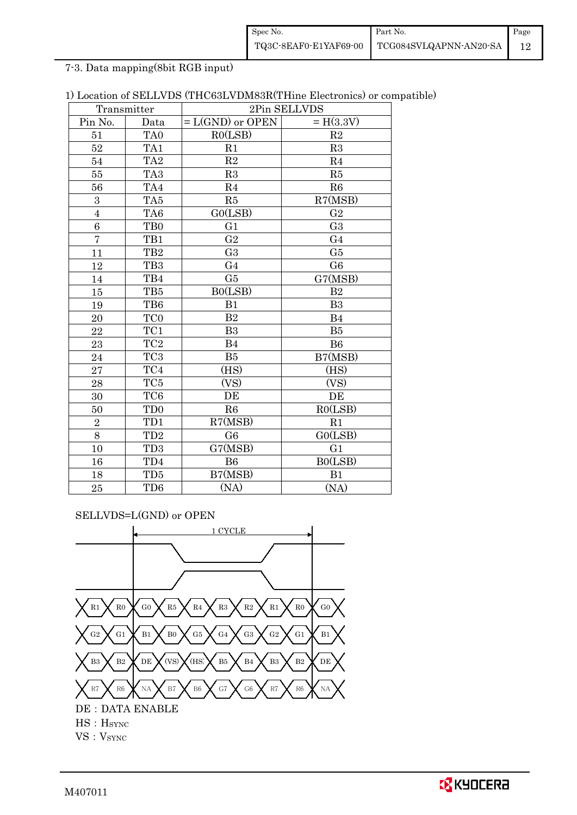| Spec No.              | <b>Part No.</b>        | Page |
|-----------------------|------------------------|------|
| TQ3C-8EAF0-E1YAF69-00 | TCG084SVLQAPNN-AN20-SA |      |

7-3. Data mapping(8bit RGB input)

| 1) Location of SELLVDS (THC63LVDM83R(THine Electronics) or compatible) |  |  |
|------------------------------------------------------------------------|--|--|
|------------------------------------------------------------------------|--|--|

| Transmitter             |                 | 2Pin SELLVDS       |                |  |  |
|-------------------------|-----------------|--------------------|----------------|--|--|
| Pin No.                 | Data            | $= L(GND)$ or OPEN | $= H(3.3V)$    |  |  |
| 51                      | TA <sub>0</sub> | R0(LSB)            | R2             |  |  |
| 52                      | TA1             | R1                 | R3             |  |  |
| 54                      | TA <sub>2</sub> | R2                 | R <sub>4</sub> |  |  |
| 55                      | TA <sub>3</sub> | R3                 | R5             |  |  |
| 56                      | TA4             | R <sub>4</sub>     | R6             |  |  |
| 3                       | TA <sub>5</sub> | R5                 | R7(MSB)        |  |  |
| $\overline{\mathbf{4}}$ | TA <sub>6</sub> | GO(LSB)            | G <sub>2</sub> |  |  |
| 6                       | TB <sub>0</sub> | G1                 | G <sub>3</sub> |  |  |
| $\overline{7}$          | TB1             | G <sub>2</sub>     | G <sub>4</sub> |  |  |
| 11                      | TB <sub>2</sub> | G <sub>3</sub>     | G5             |  |  |
| 12                      | TB <sub>3</sub> | G <sub>4</sub>     | G <sub>6</sub> |  |  |
| 14                      | TB4             | G5                 | G7(MSB)        |  |  |
| 15                      | TB5             | B0(LSB)            | B <sub>2</sub> |  |  |
| 19                      | TB6             | B1                 | B <sub>3</sub> |  |  |
| 20                      | TC <sub>0</sub> | B <sub>2</sub>     | B <sub>4</sub> |  |  |
| 22                      | TC1             | B3                 | B5             |  |  |
| 23                      | TC <sub>2</sub> | B <sub>4</sub>     | B <sub>6</sub> |  |  |
| 24                      | TC <sub>3</sub> | B5                 | B7(MSB)        |  |  |
| 27                      | TC4             | (HS)               | (HS)           |  |  |
| 28                      | TC <sub>5</sub> | (VS)               | (VS)           |  |  |
| 30                      | TC <sub>6</sub> | DE                 | DE             |  |  |
| 50                      | TD <sub>0</sub> | R6                 | RO(LSB)        |  |  |
| $\overline{2}$          | TD1             | R7(MSB)            | R1             |  |  |
| 8                       | TD <sub>2</sub> | G <sub>6</sub>     | G0(LSB)        |  |  |
| 10                      | TD <sub>3</sub> | G7(MSB)            | G <sub>1</sub> |  |  |
| 16                      | TD4             | <b>B6</b>          | B0(LSB)        |  |  |
| 18                      | TD <sub>5</sub> | B7(MSB)            | B1             |  |  |
| 25                      | TD <sub>6</sub> | (NA)               | (NA)           |  |  |

SELLVDS=L(GND) or OPEN

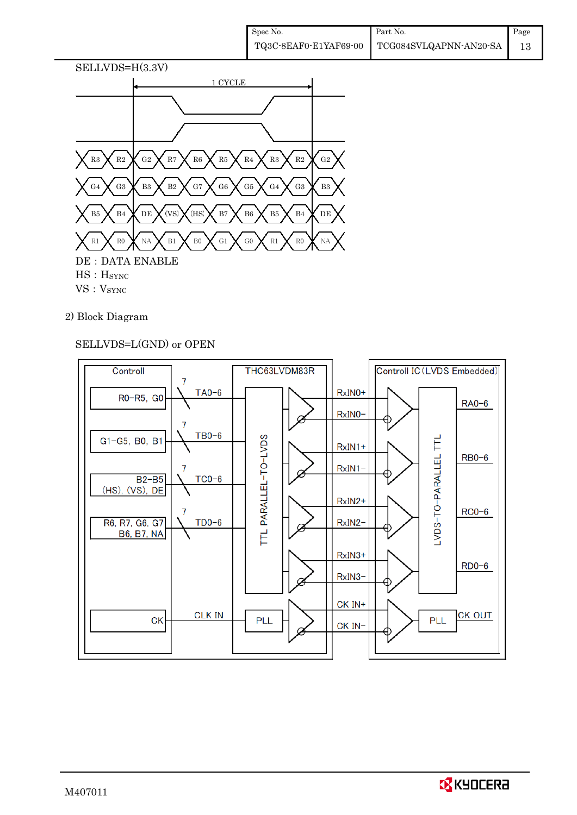

## 2) Block Diagram

## SELLVDS=L(GND) or OPEN



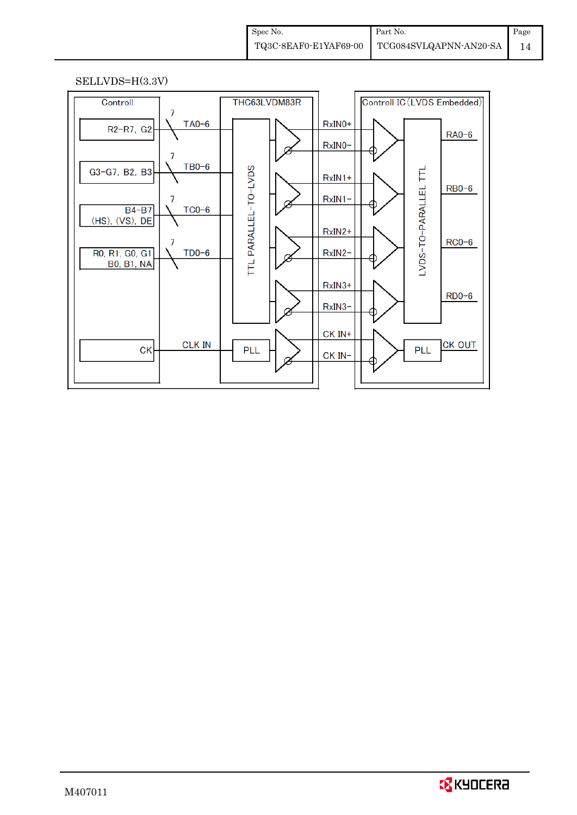#### SELLVDS=H(3.3V)



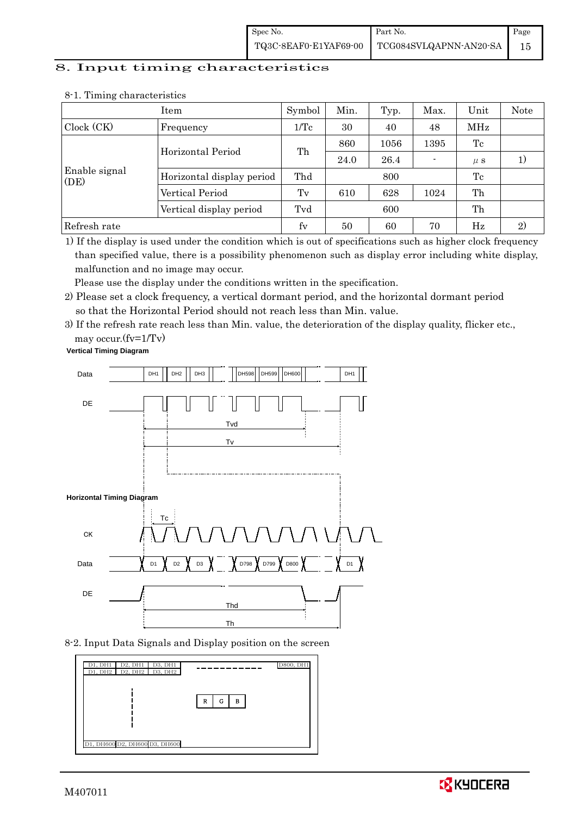### 8. Input timing characteristics

|                       | Item                      | Symbol          | Min. | Typ. | Max. | Unit    | Note   |
|-----------------------|---------------------------|-----------------|------|------|------|---------|--------|
| Clock (CK)            | Frequency                 | $1/\mathrm{Tc}$ | 30   | 40   | 48   | MHz     |        |
|                       | Horizontal Period         | Th              | 860  | 1056 | 1395 | Tc      |        |
|                       |                           |                 | 24.0 | 26.4 |      | $\mu$ s | $_{1}$ |
| Enable signal<br>(DE) | Horizontal display period | Thd             |      | 800  |      | Tc      |        |
|                       | Vertical Period           | Tv              | 610  | 628  | 1024 | Th      |        |
|                       | Vertical display period   | Tvd             |      | 600  |      | Th      |        |
| Refresh rate          |                           | fy              | 50   | 60   | 70   | Hz      | 2)     |

#### 8-1. Timing characteristics

1) If the display is used under the condition which is out of specifications such as higher clock frequency than specified value, there is a possibility phenomenon such as display error including white display, malfunction and no image may occur.

Please use the display under the conditions written in the specification.

- 2) Please set a clock frequency, a vertical dormant period, and the horizontal dormant period so that the Horizontal Period should not reach less than Min. value.
- 3) If the refresh rate reach less than Min. value, the deterioration of the display quality, flicker etc., may occur.(fv=1/Tv)

**Vertical Timing Diagram**



#### 8-2. Input Data Signals and Display position on the screen



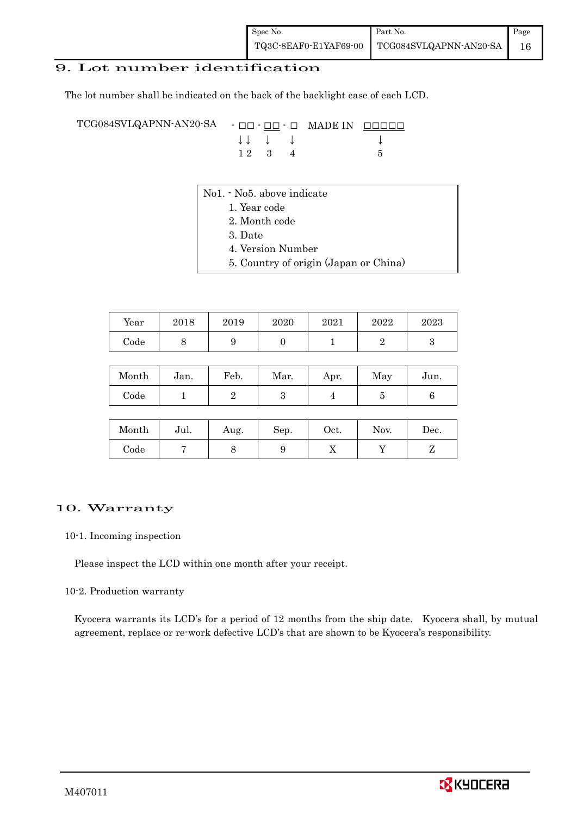## 9. Lot number identification

The lot number shall be indicated on the back of the backlight case of each LCD.

TCG084SVLQAPNN-AN20-SA - □□ - □□ - □ MADE IN □□□□□ ↓ ↓ ↓ ↓ ↓  $1 2 3 4 5$ 

- No1. No5. above indicate
	- 1. Year code
		- 2. Month code
		- 3. Date
		- 4. Version Number
		- 5. Country of origin (Japan or China)

| Year | $_{2018}$ | 2019 | 2020 | 2021 | 2022 | 2023 |
|------|-----------|------|------|------|------|------|
| Code |           | ັ    |      |      |      |      |

| Month | Jan. | Feb. | Mar. | Apr. | May | Jun. |
|-------|------|------|------|------|-----|------|
| Code  |      |      |      |      |     |      |

| Month | Jul. | Aug. | Sep. | Oct. | Nov. | Dec. |
|-------|------|------|------|------|------|------|
| Code  |      | ◡    |      | 77   |      |      |

#### 10. Warranty

10-1. Incoming inspection

Please inspect the LCD within one month after your receipt.

#### 10-2. Production warranty

 Kyocera warrants its LCD's for a period of 12 months from the ship date. Kyocera shall, by mutual agreement, replace or re-work defective LCD's that are shown to be Kyocera's responsibility.

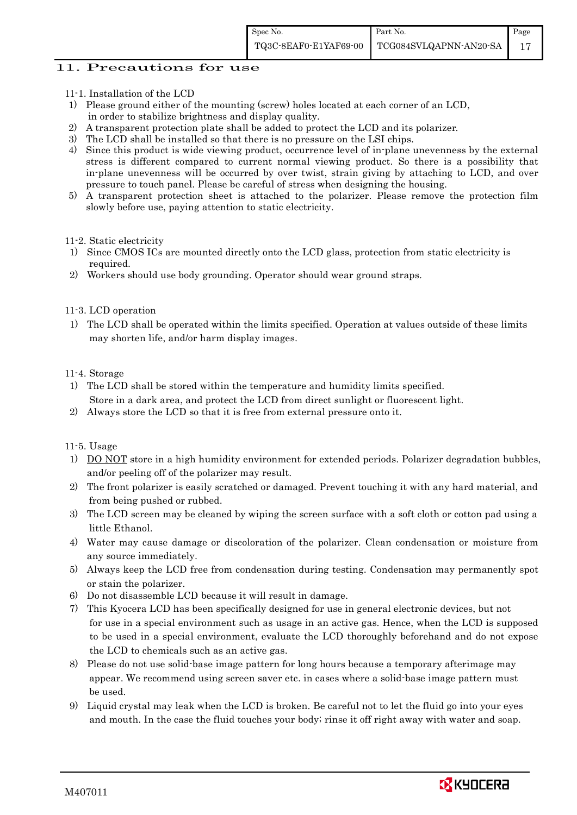#### 11. Precautions for use

- 11-1. Installation of the LCD
- 1) Please ground either of the mounting (screw) holes located at each corner of an LCD, in order to stabilize brightness and display quality.
- 2) A transparent protection plate shall be added to protect the LCD and its polarizer.
- 3) The LCD shall be installed so that there is no pressure on the LSI chips.
- 4) Since this product is wide viewing product, occurrence level of in-plane unevenness by the external stress is different compared to current normal viewing product. So there is a possibility that in-plane unevenness will be occurred by over twist, strain giving by attaching to LCD, and over pressure to touch panel. Please be careful of stress when designing the housing.
- 5) A transparent protection sheet is attached to the polarizer. Please remove the protection film slowly before use, paying attention to static electricity.

#### 11-2. Static electricity

- 1) Since CMOS ICs are mounted directly onto the LCD glass, protection from static electricity is required.
- 2) Workers should use body grounding. Operator should wear ground straps.

#### 11-3. LCD operation

1) The LCD shall be operated within the limits specified. Operation at values outside of these limits may shorten life, and/or harm display images.

#### 11-4. Storage

- 1) The LCD shall be stored within the temperature and humidity limits specified. Store in a dark area, and protect the LCD from direct sunlight or fluorescent light.
- 2) Always store the LCD so that it is free from external pressure onto it.

11-5. Usage

- 1) DO NOT store in a high humidity environment for extended periods. Polarizer degradation bubbles, and/or peeling off of the polarizer may result.
- 2) The front polarizer is easily scratched or damaged. Prevent touching it with any hard material, and from being pushed or rubbed.
- 3) The LCD screen may be cleaned by wiping the screen surface with a soft cloth or cotton pad using a little Ethanol.
- 4) Water may cause damage or discoloration of the polarizer. Clean condensation or moisture from any source immediately.
- 5) Always keep the LCD free from condensation during testing. Condensation may permanently spot or stain the polarizer.
- 6) Do not disassemble LCD because it will result in damage.
- 7) This Kyocera LCD has been specifically designed for use in general electronic devices, but not for use in a special environment such as usage in an active gas. Hence, when the LCD is supposed to be used in a special environment, evaluate the LCD thoroughly beforehand and do not expose the LCD to chemicals such as an active gas.
- 8) Please do not use solid-base image pattern for long hours because a temporary afterimage may appear. We recommend using screen saver etc. in cases where a solid-base image pattern must be used.
- 9) Liquid crystal may leak when the LCD is broken. Be careful not to let the fluid go into your eyes and mouth. In the case the fluid touches your body; rinse it off right away with water and soap.

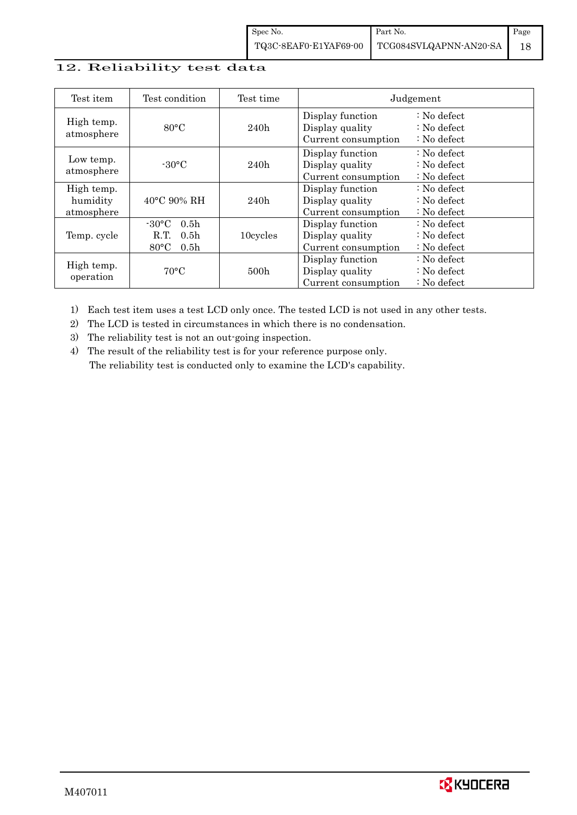## 12. Reliability test data

| Test condition<br>Test item          |                                                                                                       | Test time        | Judgement                                                  |                                                                   |  |
|--------------------------------------|-------------------------------------------------------------------------------------------------------|------------------|------------------------------------------------------------|-------------------------------------------------------------------|--|
| High temp.<br>atmosphere             | $80^{\circ}$ C                                                                                        | 240h             | Display function<br>Display quality<br>Current consumption | $: No$ defect<br>$\therefore$ No defect<br>$\therefore$ No defect |  |
| Low temp.<br>atmosphere              | $-30$ °C                                                                                              | 240h             | Display function<br>Display quality<br>Current consumption | $: No$ defect<br>$\therefore$ No defect<br>$: No$ defect          |  |
| High temp.<br>humidity<br>atmosphere | $40^{\circ}$ C 90% RH                                                                                 | 240h             | Display function<br>Display quality<br>Current consumption | : No defect<br>$\therefore$ No defect<br>$: No$ defect            |  |
| Temp. cycle                          | $-30^{\circ}$ C<br>0.5 <sub>h</sub><br>R.T.<br>0.5 <sub>h</sub><br>$80^{\circ}$ C<br>0.5 <sub>h</sub> | 10cycles         | Display function<br>Display quality<br>Current consumption | $: No$ defect<br>$\therefore$ No defect<br>$\therefore$ No defect |  |
| High temp.<br>operation              | $70^{\circ}$ C                                                                                        | 500 <sub>h</sub> | Display function<br>Display quality<br>Current consumption | $: No$ defect<br>$\therefore$ No defect<br>$: No$ defect          |  |

1) Each test item uses a test LCD only once. The tested LCD is not used in any other tests.

2) The LCD is tested in circumstances in which there is no condensation.

3) The reliability test is not an out-going inspection.

4) The result of the reliability test is for your reference purpose only. The reliability test is conducted only to examine the LCD's capability.

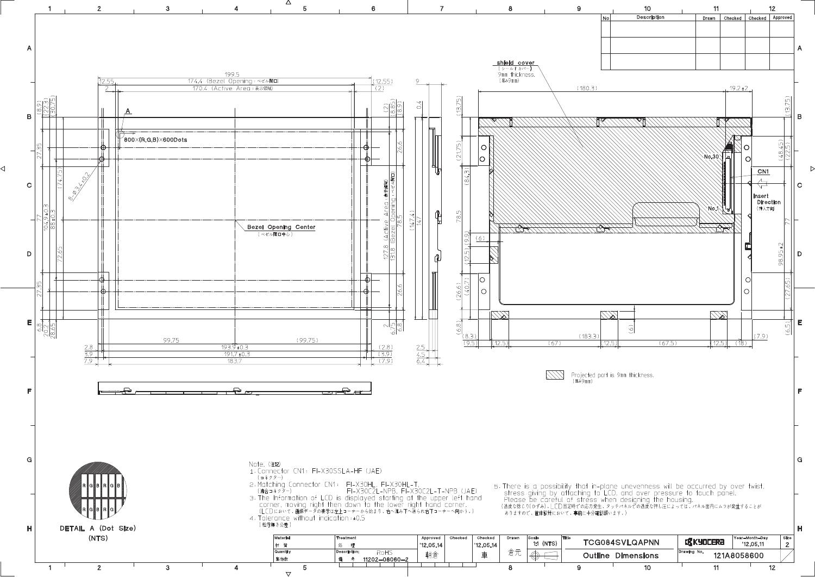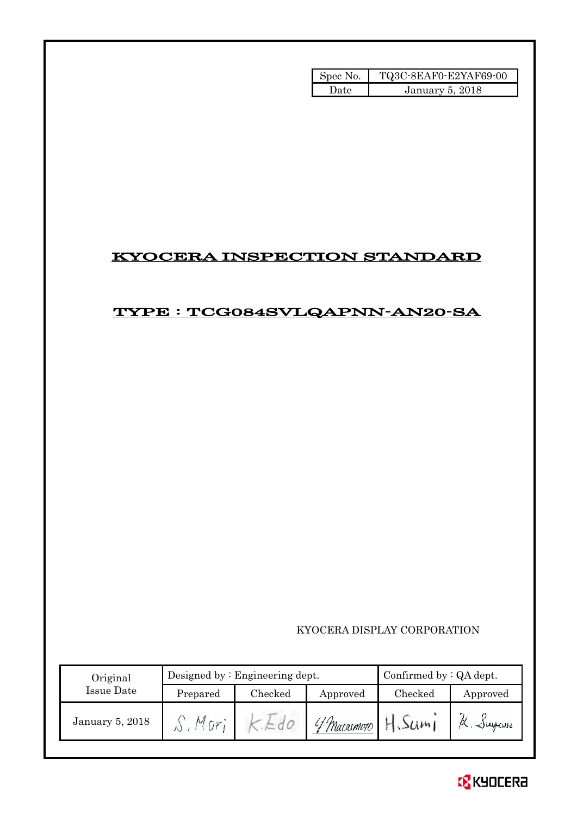| Spec No. | TQ3C-8EAF0-E2YAF69-00 |
|----------|-----------------------|
| l late   | January 5, 2018       |

## KYOCERA INSPECTION STANDARD

## TYPE : TCG084SVLQAPNN-AN20-SA

## KYOCERA DISPLAY CORPORATION

| Original        |          | Designed by: Engineering dept. | Confirmed by $:QA$ dept. |         |          |
|-----------------|----------|--------------------------------|--------------------------|---------|----------|
| Issue Date      | Prepared | Checked                        | Approved                 | Checked | Approved |
| January 5, 2018 |          |                                | 4 Macromoto H. Sum       |         | a Jugani |

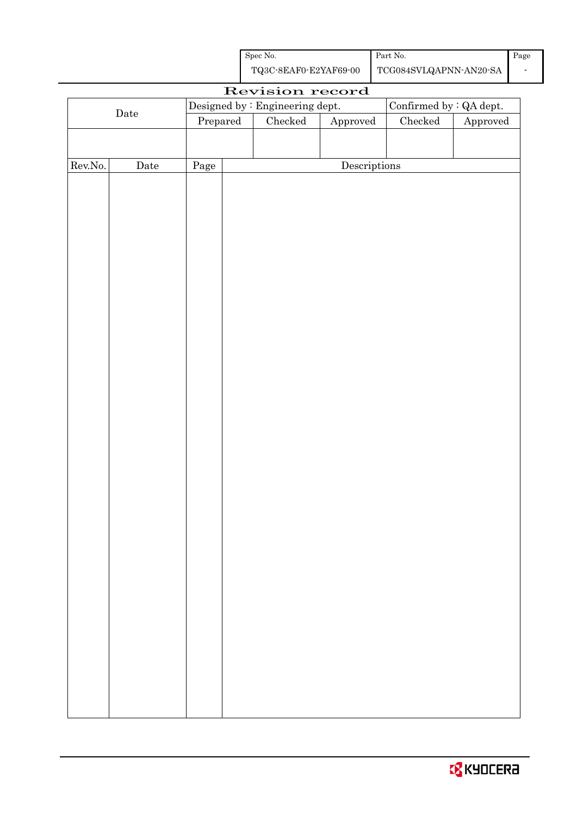| Spec No.              | Part No.               | Page |
|-----------------------|------------------------|------|
| TQ3C-8EAF0-E2YAF69-00 | TCG084SVLQAPNN-AN20-SA |      |

|         | Revision record      |          |  |                                 |                                      |                                |          |
|---------|----------------------|----------|--|---------------------------------|--------------------------------------|--------------------------------|----------|
|         |                      |          |  | Designed by : Engineering dept. |                                      | Confirmed by $\colon$ QA dept. |          |
|         | $\rm{\textbf{Date}}$ | Prepared |  | $\rm Checked$                   | ${\Large\bf Approved}$               | $\rm Checked$                  | Approved |
|         |                      |          |  |                                 |                                      |                                |          |
|         |                      |          |  |                                 |                                      |                                |          |
| Rev.No. | Date                 | Page     |  |                                 | $\label{eq:2} \textbf{Descriptions}$ |                                |          |
|         |                      |          |  |                                 |                                      |                                |          |
|         |                      |          |  |                                 |                                      |                                |          |
|         |                      |          |  |                                 |                                      |                                |          |
|         |                      |          |  |                                 |                                      |                                |          |
|         |                      |          |  |                                 |                                      |                                |          |
|         |                      |          |  |                                 |                                      |                                |          |
|         |                      |          |  |                                 |                                      |                                |          |
|         |                      |          |  |                                 |                                      |                                |          |
|         |                      |          |  |                                 |                                      |                                |          |
|         |                      |          |  |                                 |                                      |                                |          |
|         |                      |          |  |                                 |                                      |                                |          |
|         |                      |          |  |                                 |                                      |                                |          |
|         |                      |          |  |                                 |                                      |                                |          |
|         |                      |          |  |                                 |                                      |                                |          |
|         |                      |          |  |                                 |                                      |                                |          |
|         |                      |          |  |                                 |                                      |                                |          |
|         |                      |          |  |                                 |                                      |                                |          |
|         |                      |          |  |                                 |                                      |                                |          |
|         |                      |          |  |                                 |                                      |                                |          |
|         |                      |          |  |                                 |                                      |                                |          |
|         |                      |          |  |                                 |                                      |                                |          |
|         |                      |          |  |                                 |                                      |                                |          |
|         |                      |          |  |                                 |                                      |                                |          |
|         |                      |          |  |                                 |                                      |                                |          |
|         |                      |          |  |                                 |                                      |                                |          |
|         |                      |          |  |                                 |                                      |                                |          |
|         |                      |          |  |                                 |                                      |                                |          |
|         |                      |          |  |                                 |                                      |                                |          |
|         |                      |          |  |                                 |                                      |                                |          |
|         |                      |          |  |                                 |                                      |                                |          |
|         |                      |          |  |                                 |                                      |                                |          |
|         |                      |          |  |                                 |                                      |                                |          |
|         |                      |          |  |                                 |                                      |                                |          |
|         |                      |          |  |                                 |                                      |                                |          |
|         |                      |          |  |                                 |                                      |                                |          |
|         |                      |          |  |                                 |                                      |                                |          |

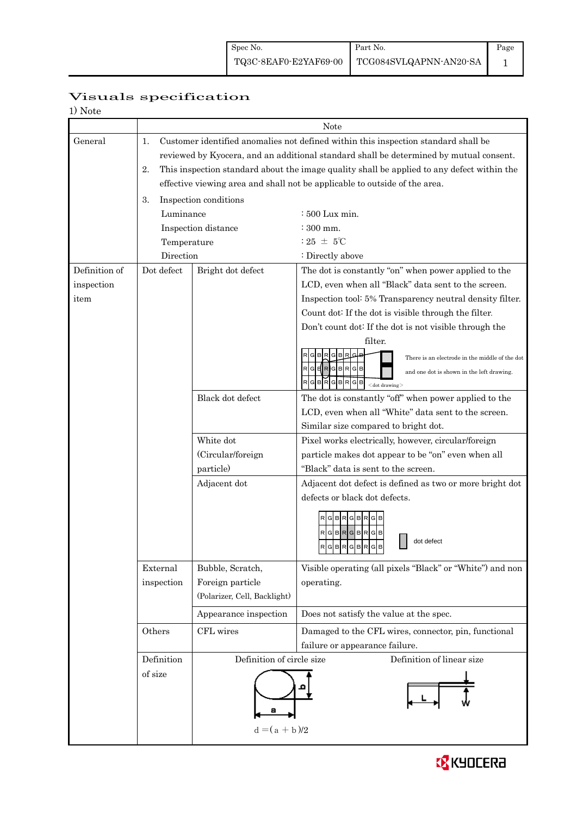## Visuals specification

| NOTA |
|------|
|------|

|               | Note        |                              |                                                                                            |  |  |  |  |
|---------------|-------------|------------------------------|--------------------------------------------------------------------------------------------|--|--|--|--|
| General       | 1.          |                              | Customer identified anomalies not defined within this inspection standard shall be         |  |  |  |  |
|               |             |                              | reviewed by Kyocera, and an additional standard shall be determined by mutual consent.     |  |  |  |  |
|               | 2.          |                              | This inspection standard about the image quality shall be applied to any defect within the |  |  |  |  |
|               |             |                              | effective viewing area and shall not be applicable to outside of the area.                 |  |  |  |  |
|               | 3.          | Inspection conditions        |                                                                                            |  |  |  |  |
|               | Luminance   |                              | $\div 500$ Lux min.                                                                        |  |  |  |  |
|               |             | Inspection distance          | $\div 300$ mm.                                                                             |  |  |  |  |
|               | Temperature |                              | : 25 $\pm$ 5°C                                                                             |  |  |  |  |
|               | Direction   |                              | : Directly above                                                                           |  |  |  |  |
| Definition of | Dot defect  | Bright dot defect            | The dot is constantly "on" when power applied to the                                       |  |  |  |  |
| inspection    |             |                              | LCD, even when all "Black" data sent to the screen.                                        |  |  |  |  |
| item          |             |                              | Inspection tool: 5% Transparency neutral density filter.                                   |  |  |  |  |
|               |             |                              | Count dot: If the dot is visible through the filter.                                       |  |  |  |  |
|               |             |                              | Don't count dot: If the dot is not visible through the                                     |  |  |  |  |
|               |             |                              | filter.                                                                                    |  |  |  |  |
|               |             |                              | RGBRGBB<br>There is an electrode in the middle of the dot                                  |  |  |  |  |
|               |             |                              | $R$ G $H$ R $G$ B $R$ G $B$<br>and one dot is shown in the left drawing.                   |  |  |  |  |
|               |             |                              | RGBRGBRGB<br>$<$ dot drawing $>$                                                           |  |  |  |  |
|               |             | Black dot defect             | The dot is constantly "off" when power applied to the                                      |  |  |  |  |
|               |             |                              | LCD, even when all "White" data sent to the screen.                                        |  |  |  |  |
|               |             |                              | Similar size compared to bright dot.                                                       |  |  |  |  |
|               |             | White dot                    | Pixel works electrically, however, circular/foreign                                        |  |  |  |  |
|               |             | (Circular/foreign            | particle makes dot appear to be "on" even when all                                         |  |  |  |  |
|               |             | particle)                    | "Black" data is sent to the screen.                                                        |  |  |  |  |
|               |             | Adjacent dot                 | Adjacent dot defect is defined as two or more bright dot                                   |  |  |  |  |
|               |             |                              | defects or black dot defects.                                                              |  |  |  |  |
|               |             |                              | RGBRGBRGB                                                                                  |  |  |  |  |
|               |             |                              | RGBRGBRGB<br>dot defect<br>RGBRGBRGB<br>ساحلها والمساحلين                                  |  |  |  |  |
|               | External    | Bubble, Scratch,             | Visible operating (all pixels "Black" or "White") and non                                  |  |  |  |  |
|               | inspection  | Foreign particle             | operating.                                                                                 |  |  |  |  |
|               |             | (Polarizer, Cell, Backlight) |                                                                                            |  |  |  |  |
|               |             | Appearance inspection        | Does not satisfy the value at the spec.                                                    |  |  |  |  |
|               | Others      | CFL wires                    | Damaged to the CFL wires, connector, pin, functional                                       |  |  |  |  |
|               |             |                              | failure or appearance failure.                                                             |  |  |  |  |
|               | Definition  | Definition of circle size    | Definition of linear size                                                                  |  |  |  |  |
|               | of size     |                              |                                                                                            |  |  |  |  |
|               |             |                              |                                                                                            |  |  |  |  |
|               |             | $d = (a + b)/2$              |                                                                                            |  |  |  |  |